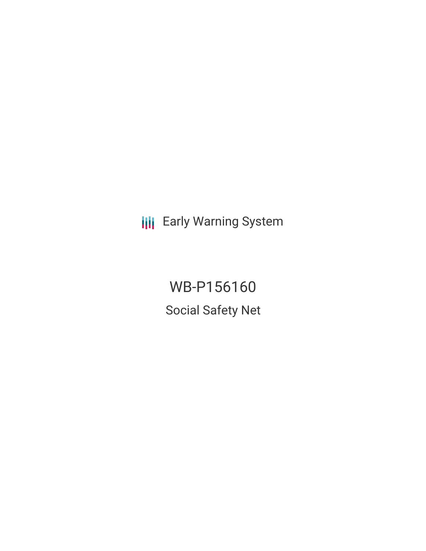**III** Early Warning System

WB-P156160 Social Safety Net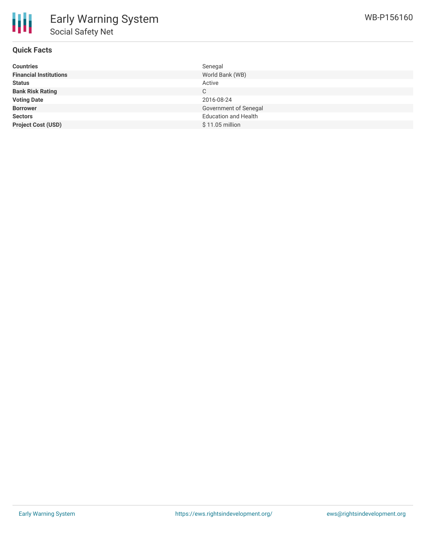

## **Quick Facts**

| <b>Countries</b>              | Senegal                     |
|-------------------------------|-----------------------------|
| <b>Financial Institutions</b> | World Bank (WB)             |
| <b>Status</b>                 | Active                      |
| <b>Bank Risk Rating</b>       | C                           |
| <b>Voting Date</b>            | 2016-08-24                  |
| <b>Borrower</b>               | Government of Senegal       |
| <b>Sectors</b>                | <b>Education and Health</b> |
| <b>Project Cost (USD)</b>     | $$11.05$ million            |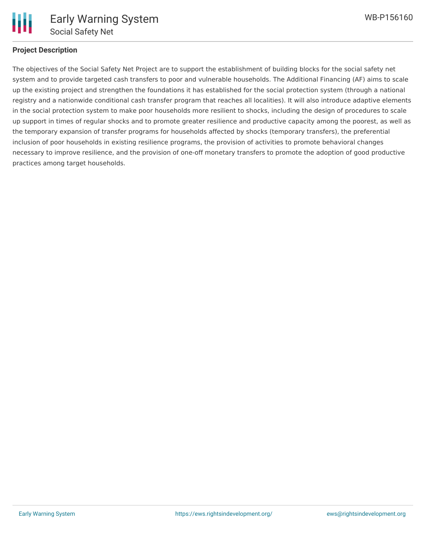

#### **Project Description**

The objectives of the Social Safety Net Project are to support the establishment of building blocks for the social safety net system and to provide targeted cash transfers to poor and vulnerable households. The Additional Financing (AF) aims to scale up the existing project and strengthen the foundations it has established for the social protection system (through a national registry and a nationwide conditional cash transfer program that reaches all localities). It will also introduce adaptive elements in the social protection system to make poor households more resilient to shocks, including the design of procedures to scale up support in times of regular shocks and to promote greater resilience and productive capacity among the poorest, as well as the temporary expansion of transfer programs for households affected by shocks (temporary transfers), the preferential inclusion of poor households in existing resilience programs, the provision of activities to promote behavioral changes necessary to improve resilience, and the provision of one-off monetary transfers to promote the adoption of good productive practices among target households.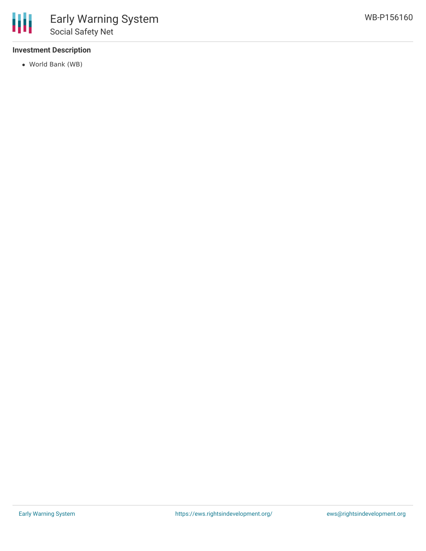

## **Investment Description**

World Bank (WB)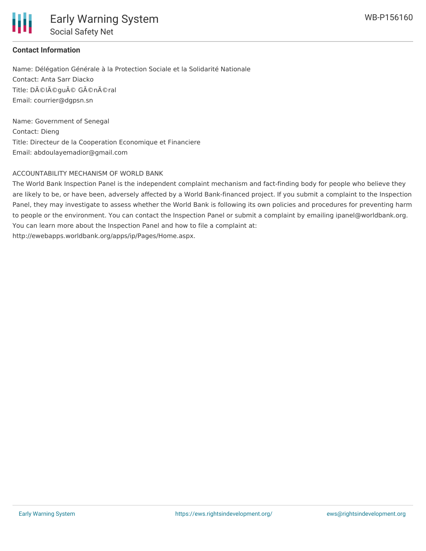

# **Contact Information**

Name: Délégation Générale à la Protection Sociale et la Solidarité Nationale Contact: Anta Sarr Diacko Title: DéIégué Général Email: courrier@dgpsn.sn

Name: Government of Senegal Contact: Dieng Title: Directeur de la Cooperation Economique et Financiere Email: abdoulayemadior@gmail.com

## ACCOUNTABILITY MECHANISM OF WORLD BANK

The World Bank Inspection Panel is the independent complaint mechanism and fact-finding body for people who believe they are likely to be, or have been, adversely affected by a World Bank-financed project. If you submit a complaint to the Inspection Panel, they may investigate to assess whether the World Bank is following its own policies and procedures for preventing harm to people or the environment. You can contact the Inspection Panel or submit a complaint by emailing ipanel@worldbank.org. You can learn more about the Inspection Panel and how to file a complaint at: http://ewebapps.worldbank.org/apps/ip/Pages/Home.aspx.